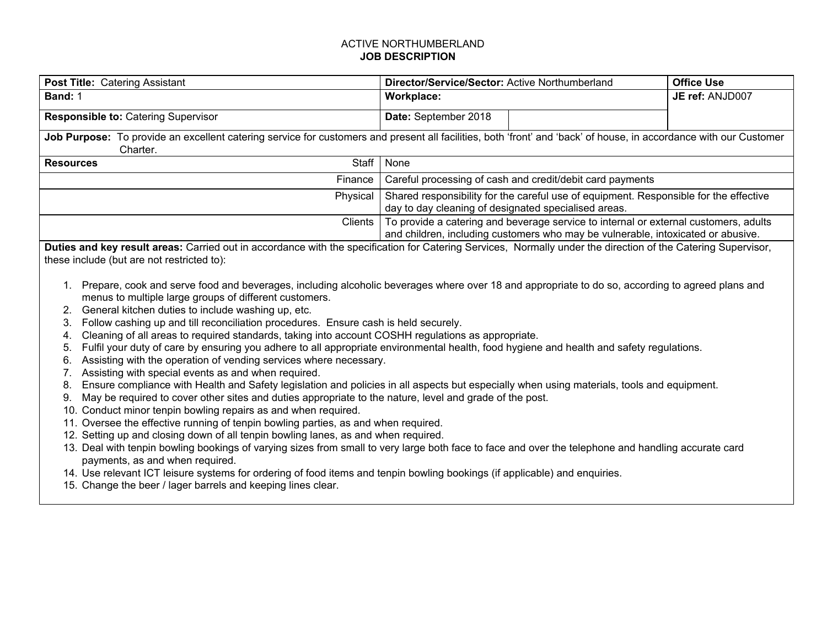## ACTIVE NORTHUMBERLAND **JOB DESCRIPTION**

| <b>Post Title: Catering Assistant</b>                                                                                                                                         | Director/Service/Sector: Active Northumberland                                                                                                                           | <b>Office Use</b> |
|-------------------------------------------------------------------------------------------------------------------------------------------------------------------------------|--------------------------------------------------------------------------------------------------------------------------------------------------------------------------|-------------------|
| Band: 1                                                                                                                                                                       | Workplace:                                                                                                                                                               | JE ref: ANJD007   |
| <b>Responsible to: Catering Supervisor</b>                                                                                                                                    | Date: September 2018                                                                                                                                                     |                   |
| Job Purpose: To provide an excellent catering service for customers and present all facilities, both 'front' and 'back' of house, in accordance with our Customer<br>Charter. |                                                                                                                                                                          |                   |
| Staff<br><b>Resources</b>                                                                                                                                                     | None                                                                                                                                                                     |                   |
| Finance                                                                                                                                                                       | Careful processing of cash and credit/debit card payments                                                                                                                |                   |
| Physical                                                                                                                                                                      | Shared responsibility for the careful use of equipment. Responsible for the effective<br>day to day cleaning of designated specialised areas.                            |                   |
| <b>Clients</b>                                                                                                                                                                | To provide a catering and beverage service to internal or external customers, adults<br>and children, including customers who may be vulnerable, intoxicated or abusive. |                   |
| Duties and key result areas: Carried out in accordance with the specification for Catering Services, Normally under the direction of the Catering Supervisor,                 |                                                                                                                                                                          |                   |

these include (but are not restricted to):

- 1. Prepare, cook and serve food and beverages, including alcoholic beverages where over 18 and appropriate to do so, according to agreed plans and menus to multiple large groups of different customers.
- 2. General kitchen duties to include washing up, etc.
- 3. Follow cashing up and till reconciliation procedures. Ensure cash is held securely.
- 4. Cleaning of all areas to required standards, taking into account COSHH regulations as appropriate.
- 5. Fulfil your duty of care by ensuring you adhere to all appropriate environmental health, food hygiene and health and safety regulations.
- 6. Assisting with the operation of vending services where necessary.
- 7. Assisting with special events as and when required.
- 8. Ensure compliance with Health and Safety legislation and policies in all aspects but especially when using materials, tools and equipment.
- 9. May be required to cover other sites and duties appropriate to the nature, level and grade of the post.
- 10. Conduct minor tenpin bowling repairs as and when required.
- 11. Oversee the effective running of tenpin bowling parties, as and when required.
- 12. Setting up and closing down of all tenpin bowling lanes, as and when required.
- 13. Deal with tenpin bowling bookings of varying sizes from small to very large both face to face and over the telephone and handling accurate card payments, as and when required.
- 14. Use relevant ICT leisure systems for ordering of food items and tenpin bowling bookings (if applicable) and enquiries.
- 15. Change the beer / lager barrels and keeping lines clear.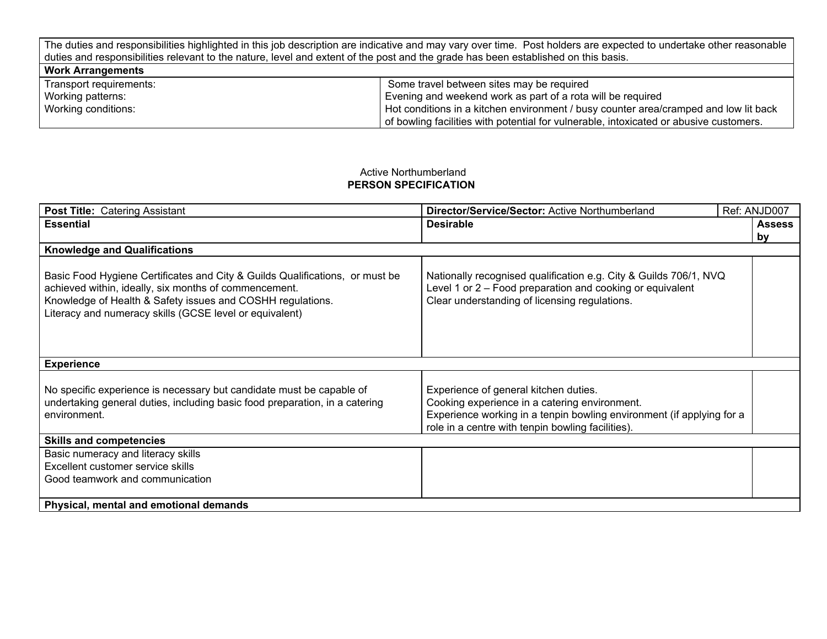The duties and responsibilities highlighted in this job description are indicative and may vary over time. Post holders are expected to undertake other reasonable duties and responsibilities relevant to the nature, level and extent of the post and the grade has been established on this basis.

| <b>Work Arrangements</b> |                                                                                        |
|--------------------------|----------------------------------------------------------------------------------------|
| Transport requirements:  | Some travel between sites may be required                                              |
| Working patterns:        | Evening and weekend work as part of a rota will be required                            |
| Working conditions:      | Hot conditions in a kitchen environment / busy counter area/cramped and low lit back   |
|                          | of bowling facilities with potential for vulnerable, intoxicated or abusive customers. |

## Active Northumberland **PERSON SPECIFICATION**

| <b>Post Title: Catering Assistant</b>                                                                                                                                                                                                                          | Director/Service/Sector: Active Northumberland                                                                                                                                                                       |  | Ref: ANJD007        |
|----------------------------------------------------------------------------------------------------------------------------------------------------------------------------------------------------------------------------------------------------------------|----------------------------------------------------------------------------------------------------------------------------------------------------------------------------------------------------------------------|--|---------------------|
| <b>Essential</b>                                                                                                                                                                                                                                               | <b>Desirable</b>                                                                                                                                                                                                     |  | <b>Assess</b><br>by |
| <b>Knowledge and Qualifications</b>                                                                                                                                                                                                                            |                                                                                                                                                                                                                      |  |                     |
| Basic Food Hygiene Certificates and City & Guilds Qualifications, or must be<br>achieved within, ideally, six months of commencement.<br>Knowledge of Health & Safety issues and COSHH regulations.<br>Literacy and numeracy skills (GCSE level or equivalent) | Nationally recognised qualification e.g. City & Guilds 706/1, NVQ<br>Level 1 or 2 – Food preparation and cooking or equivalent<br>Clear understanding of licensing regulations.                                      |  |                     |
| <b>Experience</b>                                                                                                                                                                                                                                              |                                                                                                                                                                                                                      |  |                     |
| No specific experience is necessary but candidate must be capable of<br>undertaking general duties, including basic food preparation, in a catering<br>environment.                                                                                            | Experience of general kitchen duties.<br>Cooking experience in a catering environment.<br>Experience working in a tenpin bowling environment (if applying for a<br>role in a centre with tenpin bowling facilities). |  |                     |
| <b>Skills and competencies</b>                                                                                                                                                                                                                                 |                                                                                                                                                                                                                      |  |                     |
| Basic numeracy and literacy skills<br>Excellent customer service skills<br>Good teamwork and communication                                                                                                                                                     |                                                                                                                                                                                                                      |  |                     |
| Physical, mental and emotional demands                                                                                                                                                                                                                         |                                                                                                                                                                                                                      |  |                     |